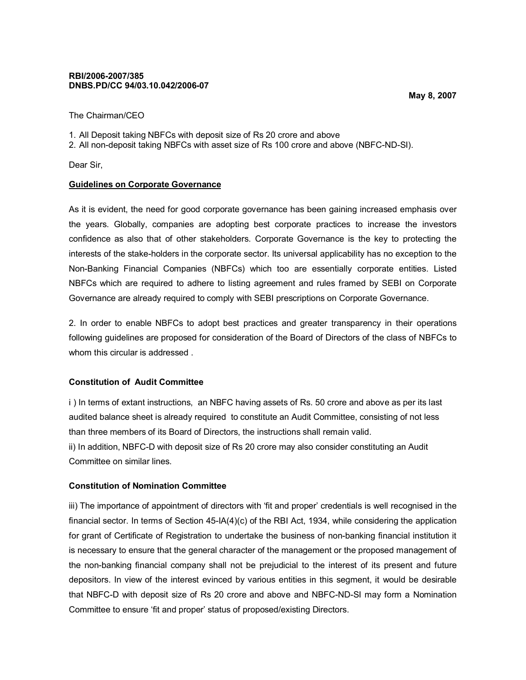### **RBI/2006-2007/385 DNBS.PD/CC 94/03.10.042/2006-07**

The Chairman/CEO

- 1. All Deposit taking NBFCs with deposit size of Rs 20 crore and above
- 2. All non-deposit taking NBFCs with asset size of Rs 100 crore and above (NBFC-ND-SI).

Dear Sir,

### **Guidelines on Corporate Governance**

As it is evident, the need for good corporate governance has been gaining increased emphasis over the years. Globally, companies are adopting best corporate practices to increase the investors confidence as also that of other stakeholders. Corporate Governance is the key to protecting the interests of the stake-holders in the corporate sector. Its universal applicability has no exception to the Non-Banking Financial Companies (NBFCs) which too are essentially corporate entities. Listed NBFCs which are required to adhere to listing agreement and rules framed by SEBI on Corporate Governance are already required to comply with SEBI prescriptions on Corporate Governance.

2. In order to enable NBFCs to adopt best practices and greater transparency in their operations following guidelines are proposed for consideration of the Board of Directors of the class of NBFCs to whom this circular is addressed .

# **Constitution of Audit Committee**

i ) In terms of extant instructions, an NBFC having assets of Rs. 50 crore and above as per its last audited balance sheet is already required to constitute an Audit Committee, consisting of not less than three members of its Board of Directors, the instructions shall remain valid. ii) In addition, NBFC-D with deposit size of Rs 20 crore may also consider constituting an Audit Committee on similar lines.

# **Constitution of Nomination Committee**

iii) The importance of appointment of directors with 'fit and proper' credentials is well recognised in the financial sector. In terms of Section 45-IA(4)(c) of the RBI Act, 1934, while considering the application for grant of Certificate of Registration to undertake the business of non-banking financial institution it is necessary to ensure that the general character of the management or the proposed management of the non-banking financial company shall not be prejudicial to the interest of its present and future depositors. In view of the interest evinced by various entities in this segment, it would be desirable that NBFC-D with deposit size of Rs 20 crore and above and NBFC-ND-SI may form a Nomination Committee to ensure 'fit and proper' status of proposed/existing Directors.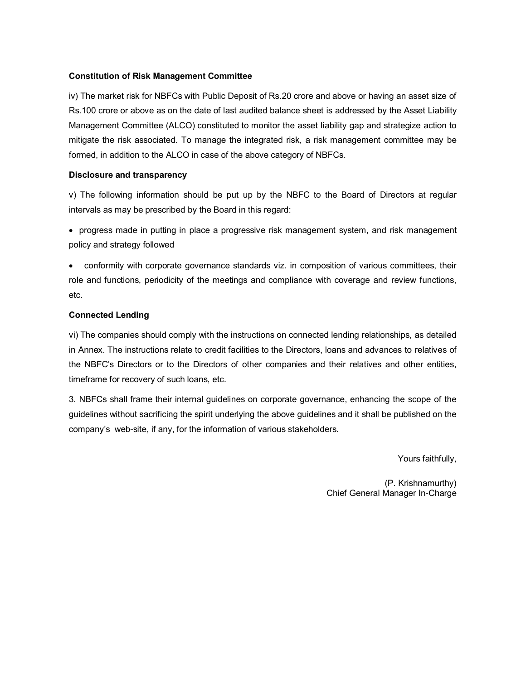## **Constitution of Risk Management Committee**

iv) The market risk for NBFCs with Public Deposit of Rs.20 crore and above or having an asset size of Rs.100 crore or above as on the date of last audited balance sheet is addressed by the Asset Liability Management Committee (ALCO) constituted to monitor the asset liability gap and strategize action to mitigate the risk associated. To manage the integrated risk, a risk management committee may be formed, in addition to the ALCO in case of the above category of NBFCs.

### **Disclosure and transparency**

v) The following information should be put up by the NBFC to the Board of Directors at regular intervals as may be prescribed by the Board in this regard:

 progress made in putting in place a progressive risk management system, and risk management policy and strategy followed

 conformity with corporate governance standards viz. in composition of various committees, their role and functions, periodicity of the meetings and compliance with coverage and review functions, etc.

### **Connected Lending**

vi) The companies should comply with the instructions on connected lending relationships, as detailed in Annex. The instructions relate to credit facilities to the Directors, loans and advances to relatives of the NBFC's Directors or to the Directors of other companies and their relatives and other entities, timeframe for recovery of such loans, etc.

3. NBFCs shall frame their internal guidelines on corporate governance, enhancing the scope of the guidelines without sacrificing the spirit underlying the above guidelines and it shall be published on the company's web-site, if any, for the information of various stakeholders.

Yours faithfully,

(P. Krishnamurthy) Chief General Manager In-Charge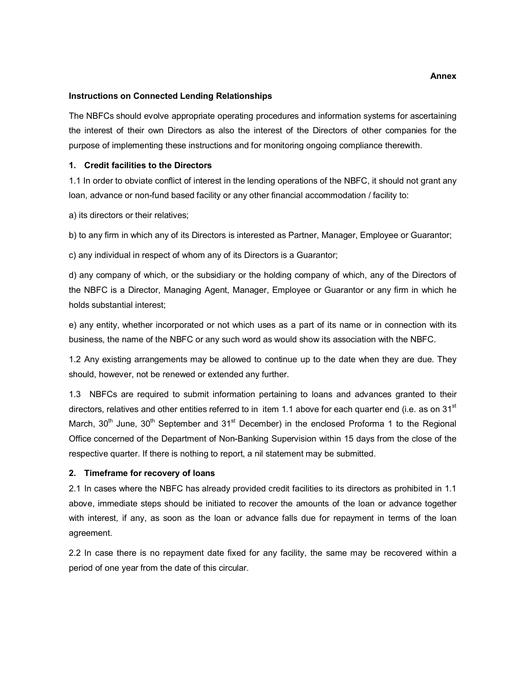#### **Instructions on Connected Lending Relationships**

The NBFCs should evolve appropriate operating procedures and information systems for ascertaining the interest of their own Directors as also the interest of the Directors of other companies for the purpose of implementing these instructions and for monitoring ongoing compliance therewith.

#### **1. Credit facilities to the Directors**

1.1 In order to obviate conflict of interest in the lending operations of the NBFC, it should not grant any loan, advance or non-fund based facility or any other financial accommodation / facility to:

a) its directors or their relatives;

b) to any firm in which any of its Directors is interested as Partner, Manager, Employee or Guarantor;

c) any individual in respect of whom any of its Directors is a Guarantor;

d) any company of which, or the subsidiary or the holding company of which, any of the Directors of the NBFC is a Director, Managing Agent, Manager, Employee or Guarantor or any firm in which he holds substantial interest;

e) any entity, whether incorporated or not which uses as a part of its name or in connection with its business, the name of the NBFC or any such word as would show its association with the NBFC.

1.2 Any existing arrangements may be allowed to continue up to the date when they are due. They should, however, not be renewed or extended any further.

1.3 NBFCs are required to submit information pertaining to loans and advances granted to their directors, relatives and other entities referred to in item 1.1 above for each quarter end (i.e. as on 31 $\rm{^{st}}$ ) March,  $30<sup>th</sup>$  June,  $30<sup>th</sup>$  September and  $31<sup>st</sup>$  December) in the enclosed Proforma 1 to the Regional Office concerned of the Department of Non-Banking Supervision within 15 days from the close of the respective quarter. If there is nothing to report, a nil statement may be submitted.

### **2. Timeframe for recovery of loans**

2.1 In cases where the NBFC has already provided credit facilities to its directors as prohibited in 1.1 above, immediate steps should be initiated to recover the amounts of the loan or advance together with interest, if any, as soon as the loan or advance falls due for repayment in terms of the loan agreement.

2.2 In case there is no repayment date fixed for any facility, the same may be recovered within a period of one year from the date of this circular.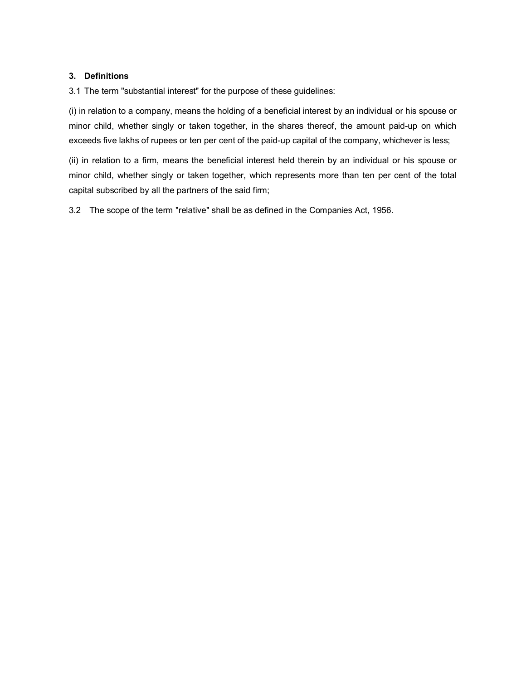# **3. Definitions**

3.1 The term "substantial interest" for the purpose of these guidelines:

(i) in relation to a company, means the holding of a beneficial interest by an individual or his spouse or minor child, whether singly or taken together, in the shares thereof, the amount paid-up on which exceeds five lakhs of rupees or ten per cent of the paid-up capital of the company, whichever is less;

(ii) in relation to a firm, means the beneficial interest held therein by an individual or his spouse or minor child, whether singly or taken together, which represents more than ten per cent of the total capital subscribed by all the partners of the said firm;

3.2 The scope of the term "relative" shall be as defined in the Companies Act, 1956.